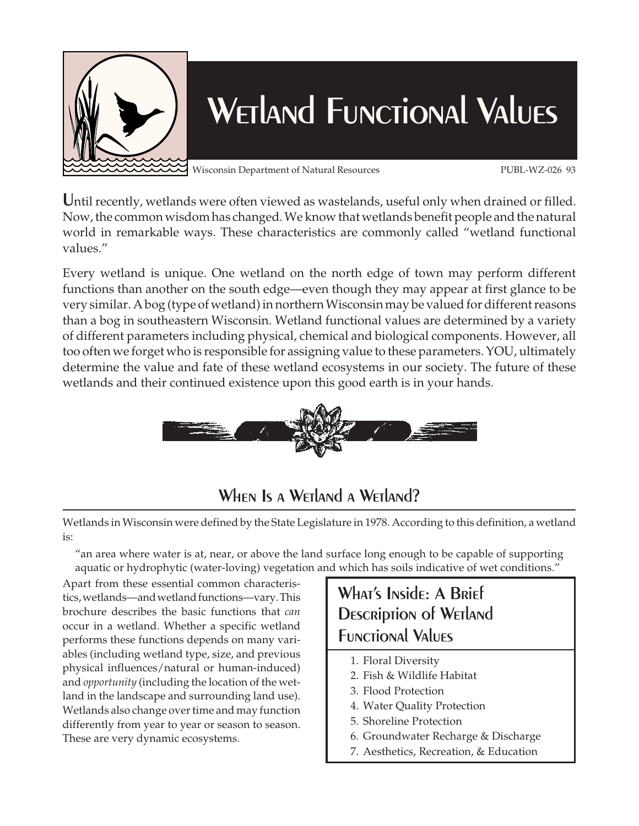

# WETLAND FUNCTIONAL VALUES

Wisconsin Department of Natural Resources PUBL-WZ-026 93

Until recently, wetlands were often viewed as wastelands, useful only when drained or filled. Now, the common wisdom has changed. We know that wetlands benefit people and the natural world in remarkable ways. These characteristics are commonly called "wetland functional values."

Every wetland is unique. One wetland on the north edge of town may perform different functions than another on the south edge—even though they may appear at first glance to be very similar. A bog (type of wetland) in northern Wisconsin may be valued for different reasons than a bog in southeastern Wisconsin. Wetland functional values are determined by a variety of different parameters including physical, chemical and biological components. However, all too often we forget who is responsible for assigning value to these parameters. YOU, ultimately determine the value and fate of these wetland ecosystems in our society. The future of these wetlands and their continued existence upon this good earth is in your hands.



## WHEN IS A WETLAND A WETLAND?

Wetlands in Wisconsin were defined by the State Legislature in 1978. According to this definition, a wetland is:

"an area where water is at, near, or above the land surface long enough to be capable of supporting aquatic or hydrophytic (water-loving) vegetation and which has soils indicative of wet conditions."

Apart from these essential common characteristics, wetlands—and wetland functions—vary. This brochure describes the basic functions that *can* occur in a wetland. Whether a specific wetland performs these functions depends on many variables (including wetland type, size, and previous physical influences/natural or human-induced) and *opportunity* (including the location of the wetland in the landscape and surrounding land use). Wetlands also change over time and may function differently from year to year or season to season. These are very dynamic ecosystems.



- 1. Floral Diversity
- 2. Fish & Wildlife Habitat
- 3. Flood Protection
- 4. Water Quality Protection
- 5. Shoreline Protection
- 6. Groundwater Recharge & Discharge
- 7. Aesthetics, Recreation, & Education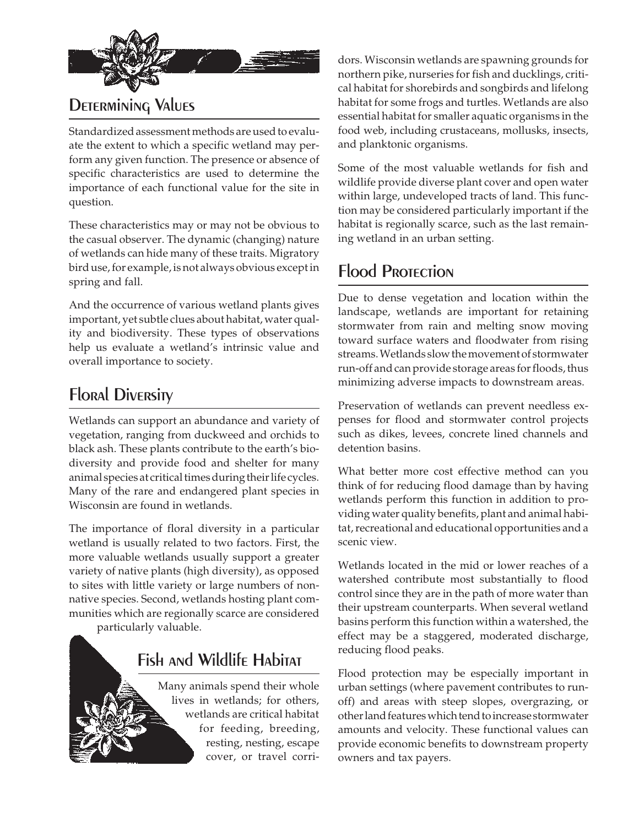

## DETERMINING VALUES

Standardized assessment methods are used to evaluate the extent to which a specific wetland may perform any given function. The presence or absence of specific characteristics are used to determine the importance of each functional value for the site in question.

These characteristics may or may not be obvious to the casual observer. The dynamic (changing) nature of wetlands can hide many of these traits. Migratory bird use, for example, is not always obvious except in spring and fall.

And the occurrence of various wetland plants gives important, yet subtle clues about habitat, water quality and biodiversity. These types of observations help us evaluate a wetland's intrinsic value and overall importance to society.

## **Floral Diversity**

Wetlands can support an abundance and variety of vegetation, ranging from duckweed and orchids to black ash. These plants contribute to the earth's biodiversity and provide food and shelter for many animal species at critical times during their life cycles. Many of the rare and endangered plant species in Wisconsin are found in wetlands.

The importance of floral diversity in a particular wetland is usually related to two factors. First, the more valuable wetlands usually support a greater variety of native plants (high diversity), as opposed to sites with little variety or large numbers of nonnative species. Second, wetlands hosting plant communities which are regionally scarce are considered

particularly valuable.

# Fish and Wildlife Habitat

Many animals spend their whole lives in wetlands; for others, wetlands are critical habitat for feeding, breeding, resting, nesting, escape cover, or travel corridors. Wisconsin wetlands are spawning grounds for northern pike, nurseries for fish and ducklings, critical habitat for shorebirds and songbirds and lifelong habitat for some frogs and turtles. Wetlands are also essential habitat for smaller aquatic organisms in the food web, including crustaceans, mollusks, insects, and planktonic organisms.

Some of the most valuable wetlands for fish and wildlife provide diverse plant cover and open water within large, undeveloped tracts of land. This function may be considered particularly important if the habitat is regionally scarce, such as the last remaining wetland in an urban setting.

#### Flood Protection

Due to dense vegetation and location within the landscape, wetlands are important for retaining stormwater from rain and melting snow moving toward surface waters and floodwater from rising streams. Wetlands slow the movement of stormwater run-off and can provide storage areas for floods, thus minimizing adverse impacts to downstream areas.

Preservation of wetlands can prevent needless expenses for flood and stormwater control projects such as dikes, levees, concrete lined channels and detention basins.

What better more cost effective method can you think of for reducing flood damage than by having wetlands perform this function in addition to providing water quality benefits, plant and animal habitat, recreational and educational opportunities and a scenic view.

Wetlands located in the mid or lower reaches of a watershed contribute most substantially to flood control since they are in the path of more water than their upstream counterparts. When several wetland basins perform this function within a watershed, the effect may be a staggered, moderated discharge, reducing flood peaks.

Flood protection may be especially important in urban settings (where pavement contributes to runoff) and areas with steep slopes, overgrazing, or other land features which tend to increase stormwater amounts and velocity. These functional values can provide economic benefits to downstream property owners and tax payers.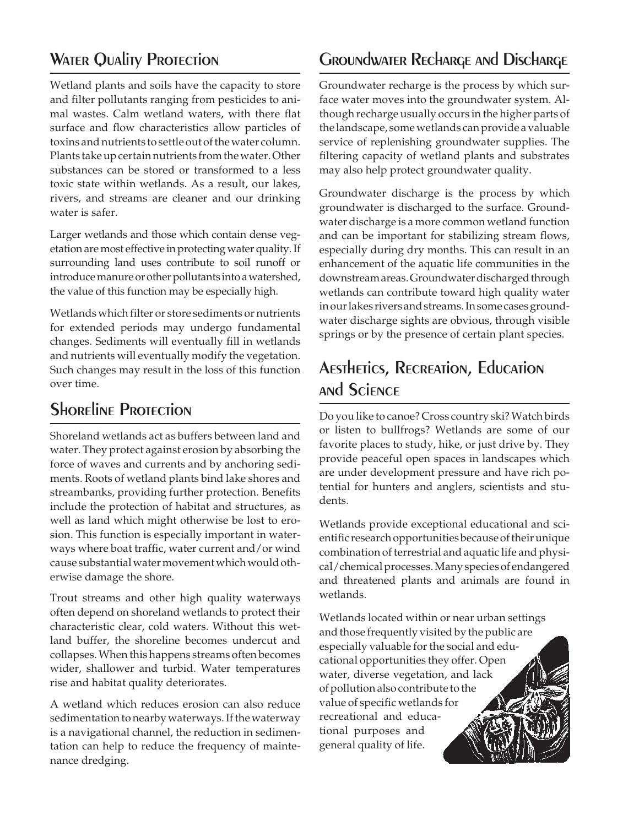## **WATER QUALITY PROTECTION**

Wetland plants and soils have the capacity to store and filter pollutants ranging from pesticides to animal wastes. Calm wetland waters, with there flat surface and flow characteristics allow particles of toxins and nutrients to settle out of the water column. Plants take up certain nutrients from the water. Other substances can be stored or transformed to a less toxic state within wetlands. As a result, our lakes, rivers, and streams are cleaner and our drinking water is safer.

Larger wetlands and those which contain dense vegetation are most effective in protecting water quality. If surrounding land uses contribute to soil runoff or introduce manure or other pollutants into a watershed, the value of this function may be especially high.

Wetlands which filter or store sediments or nutrients for extended periods may undergo fundamental changes. Sediments will eventually fill in wetlands and nutrients will eventually modify the vegetation. Such changes may result in the loss of this function over time.

#### **SHORELINE PROTECTION**

Shoreland wetlands act as buffers between land and water. They protect against erosion by absorbing the force of waves and currents and by anchoring sediments. Roots of wetland plants bind lake shores and streambanks, providing further protection. Benefits include the protection of habitat and structures, as well as land which might otherwise be lost to erosion. This function is especially important in waterways where boat traffic, water current and/or wind cause substantial water movement which would otherwise damage the shore.

Trout streams and other high quality waterways often depend on shoreland wetlands to protect their characteristic clear, cold waters. Without this wetland buffer, the shoreline becomes undercut and collapses. When this happens streams often becomes wider, shallower and turbid. Water temperatures rise and habitat quality deteriorates.

A wetland which reduces erosion can also reduce sedimentation to nearby waterways. If the waterway is a navigational channel, the reduction in sedimentation can help to reduce the frequency of maintenance dredging.

#### Groundwater Recharge and Discharge

Groundwater recharge is the process by which surface water moves into the groundwater system. Although recharge usually occurs in the higher parts of the landscape, some wetlands can provide a valuable service of replenishing groundwater supplies. The filtering capacity of wetland plants and substrates may also help protect groundwater quality.

Groundwater discharge is the process by which groundwater is discharged to the surface. Groundwater discharge is a more common wetland function and can be important for stabilizing stream flows, especially during dry months. This can result in an enhancement of the aquatic life communities in the downstream areas. Groundwater discharged through wetlands can contribute toward high quality water in our lakes rivers and streams. In some cases groundwater discharge sights are obvious, through visible springs or by the presence of certain plant species.

# Aesthetics, Recreation, Education and Science

Do you like to canoe? Cross country ski? Watch birds or listen to bullfrogs? Wetlands are some of our favorite places to study, hike, or just drive by. They provide peaceful open spaces in landscapes which are under development pressure and have rich potential for hunters and anglers, scientists and students.

Wetlands provide exceptional educational and scientific research opportunities because of their unique combination of terrestrial and aquatic life and physical/chemical processes. Many species of endangered and threatened plants and animals are found in wetlands.

Wetlands located within or near urban settings and those frequently visited by the public are especially valuable for the social and educational opportunities they offer. Open water, diverse vegetation, and lack of pollution also contribute to the value of specific wetlands for recreational and educational purposes and general quality of life.